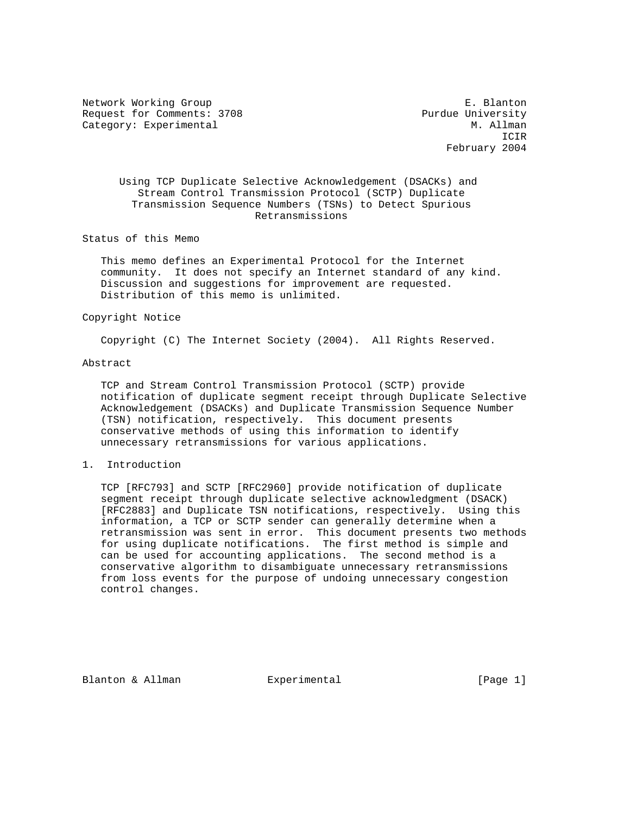Network Working Group **E. Blanton** Request for Comments: 3708 Purdue University Category: Experimental M. Allman

 ICIR February 2004

# Using TCP Duplicate Selective Acknowledgement (DSACKs) and Stream Control Transmission Protocol (SCTP) Duplicate Transmission Sequence Numbers (TSNs) to Detect Spurious Retransmissions

Status of this Memo

 This memo defines an Experimental Protocol for the Internet community. It does not specify an Internet standard of any kind. Discussion and suggestions for improvement are requested. Distribution of this memo is unlimited.

## Copyright Notice

Copyright (C) The Internet Society (2004). All Rights Reserved.

### Abstract

 TCP and Stream Control Transmission Protocol (SCTP) provide notification of duplicate segment receipt through Duplicate Selective Acknowledgement (DSACKs) and Duplicate Transmission Sequence Number (TSN) notification, respectively. This document presents conservative methods of using this information to identify unnecessary retransmissions for various applications.

# 1. Introduction

 TCP [RFC793] and SCTP [RFC2960] provide notification of duplicate segment receipt through duplicate selective acknowledgment (DSACK) [RFC2883] and Duplicate TSN notifications, respectively. Using this information, a TCP or SCTP sender can generally determine when a retransmission was sent in error. This document presents two methods for using duplicate notifications. The first method is simple and can be used for accounting applications. The second method is a conservative algorithm to disambiguate unnecessary retransmissions from loss events for the purpose of undoing unnecessary congestion control changes.

Blanton & Allman **Experimental** [Page 1]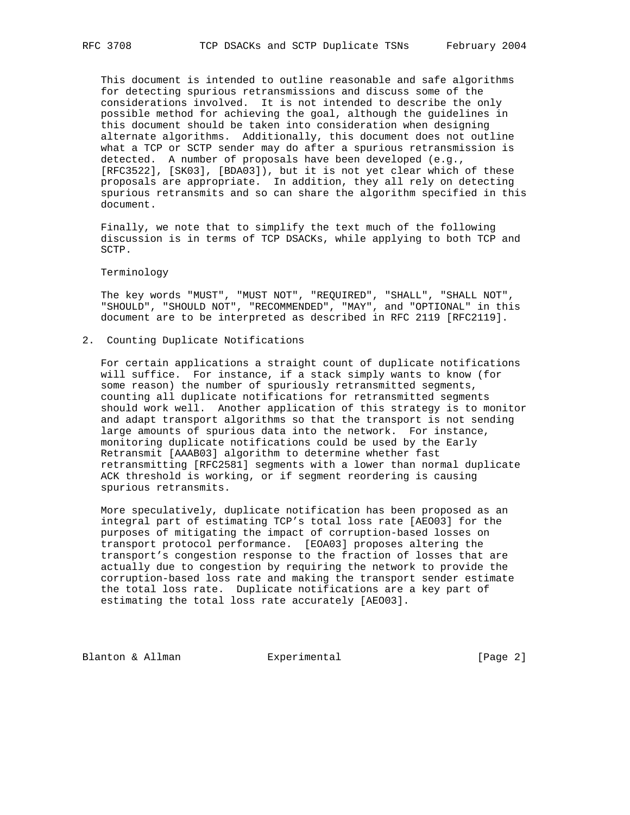This document is intended to outline reasonable and safe algorithms for detecting spurious retransmissions and discuss some of the considerations involved. It is not intended to describe the only possible method for achieving the goal, although the guidelines in this document should be taken into consideration when designing alternate algorithms. Additionally, this document does not outline what a TCP or SCTP sender may do after a spurious retransmission is detected. A number of proposals have been developed (e.g., [RFC3522], [SK03], [BDA03]), but it is not yet clear which of these proposals are appropriate. In addition, they all rely on detecting spurious retransmits and so can share the algorithm specified in this document.

 Finally, we note that to simplify the text much of the following discussion is in terms of TCP DSACKs, while applying to both TCP and SCTP.

#### Terminology

 The key words "MUST", "MUST NOT", "REQUIRED", "SHALL", "SHALL NOT", "SHOULD", "SHOULD NOT", "RECOMMENDED", "MAY", and "OPTIONAL" in this document are to be interpreted as described in RFC 2119 [RFC2119].

2. Counting Duplicate Notifications

For certain applications a straight count of duplicate notifications will suffice. For instance, if a stack simply wants to know (for some reason) the number of spuriously retransmitted segments, counting all duplicate notifications for retransmitted segments should work well. Another application of this strategy is to monitor and adapt transport algorithms so that the transport is not sending large amounts of spurious data into the network. For instance, monitoring duplicate notifications could be used by the Early Retransmit [AAAB03] algorithm to determine whether fast retransmitting [RFC2581] segments with a lower than normal duplicate ACK threshold is working, or if segment reordering is causing spurious retransmits.

 More speculatively, duplicate notification has been proposed as an integral part of estimating TCP's total loss rate [AEO03] for the purposes of mitigating the impact of corruption-based losses on transport protocol performance. [EOA03] proposes altering the transport's congestion response to the fraction of losses that are actually due to congestion by requiring the network to provide the corruption-based loss rate and making the transport sender estimate the total loss rate. Duplicate notifications are a key part of estimating the total loss rate accurately [AEO03].

Blanton & Allman **Experimental** Experimental [Page 2]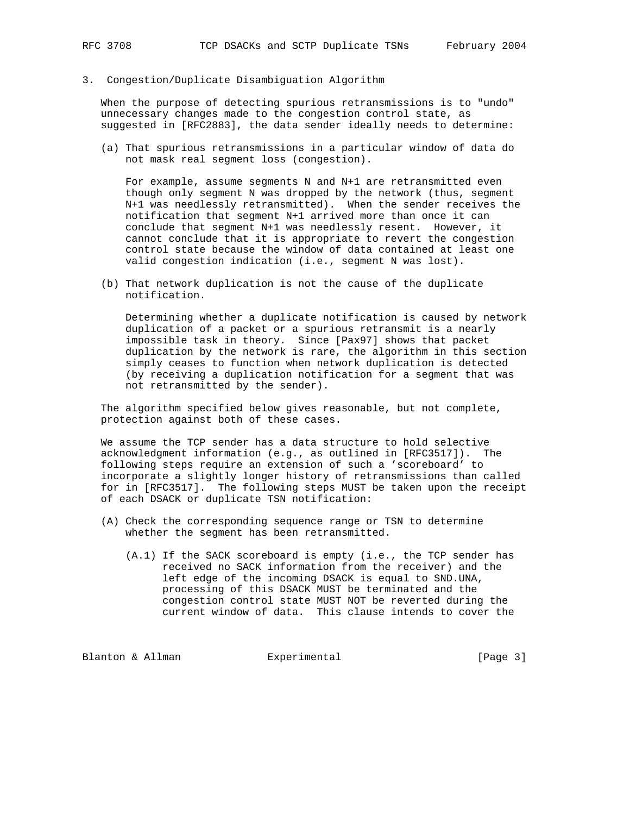3. Congestion/Duplicate Disambiguation Algorithm

 When the purpose of detecting spurious retransmissions is to "undo" unnecessary changes made to the congestion control state, as suggested in [RFC2883], the data sender ideally needs to determine:

 (a) That spurious retransmissions in a particular window of data do not mask real segment loss (congestion).

 For example, assume segments N and N+1 are retransmitted even though only segment N was dropped by the network (thus, segment N+1 was needlessly retransmitted). When the sender receives the notification that segment N+1 arrived more than once it can conclude that segment N+1 was needlessly resent. However, it cannot conclude that it is appropriate to revert the congestion control state because the window of data contained at least one valid congestion indication (i.e., segment N was lost).

 (b) That network duplication is not the cause of the duplicate notification.

 Determining whether a duplicate notification is caused by network duplication of a packet or a spurious retransmit is a nearly impossible task in theory. Since [Pax97] shows that packet duplication by the network is rare, the algorithm in this section simply ceases to function when network duplication is detected (by receiving a duplication notification for a segment that was not retransmitted by the sender).

 The algorithm specified below gives reasonable, but not complete, protection against both of these cases.

 We assume the TCP sender has a data structure to hold selective acknowledgment information (e.g., as outlined in [RFC3517]). The following steps require an extension of such a 'scoreboard' to incorporate a slightly longer history of retransmissions than called for in [RFC3517]. The following steps MUST be taken upon the receipt of each DSACK or duplicate TSN notification:

- (A) Check the corresponding sequence range or TSN to determine whether the segment has been retransmitted.
	- (A.1) If the SACK scoreboard is empty (i.e., the TCP sender has received no SACK information from the receiver) and the left edge of the incoming DSACK is equal to SND.UNA, processing of this DSACK MUST be terminated and the congestion control state MUST NOT be reverted during the current window of data. This clause intends to cover the

Blanton & Allman **Experimental** Experimental [Page 3]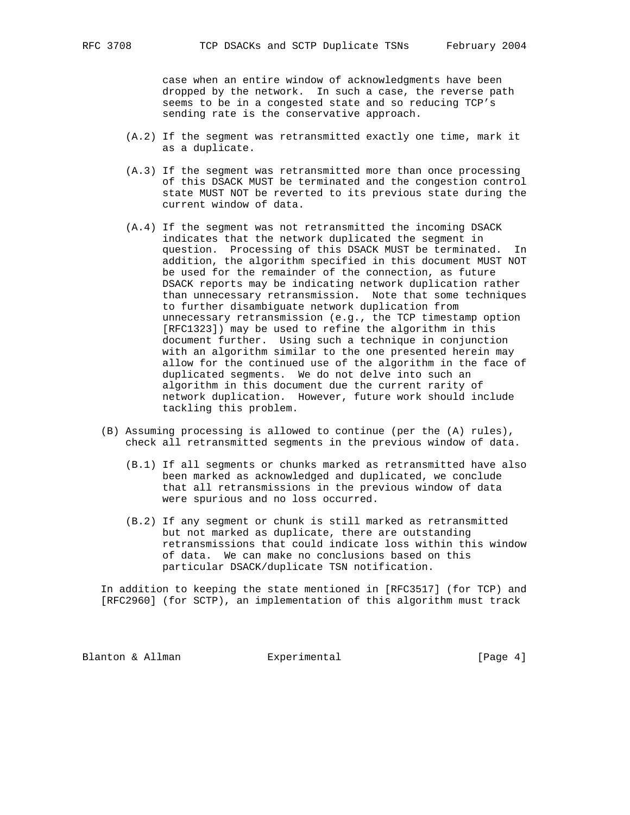case when an entire window of acknowledgments have been dropped by the network. In such a case, the reverse path seems to be in a congested state and so reducing TCP's sending rate is the conservative approach.

- (A.2) If the segment was retransmitted exactly one time, mark it as a duplicate.
- (A.3) If the segment was retransmitted more than once processing of this DSACK MUST be terminated and the congestion control state MUST NOT be reverted to its previous state during the current window of data.
- (A.4) If the segment was not retransmitted the incoming DSACK indicates that the network duplicated the segment in question. Processing of this DSACK MUST be terminated. In addition, the algorithm specified in this document MUST NOT be used for the remainder of the connection, as future DSACK reports may be indicating network duplication rather than unnecessary retransmission. Note that some techniques to further disambiguate network duplication from unnecessary retransmission (e.g., the TCP timestamp option [RFC1323]) may be used to refine the algorithm in this document further. Using such a technique in conjunction with an algorithm similar to the one presented herein may allow for the continued use of the algorithm in the face of duplicated segments. We do not delve into such an algorithm in this document due the current rarity of network duplication. However, future work should include tackling this problem.
- (B) Assuming processing is allowed to continue (per the (A) rules), check all retransmitted segments in the previous window of data.
	- (B.1) If all segments or chunks marked as retransmitted have also been marked as acknowledged and duplicated, we conclude that all retransmissions in the previous window of data were spurious and no loss occurred.
	- (B.2) If any segment or chunk is still marked as retransmitted but not marked as duplicate, there are outstanding retransmissions that could indicate loss within this window of data. We can make no conclusions based on this particular DSACK/duplicate TSN notification.

 In addition to keeping the state mentioned in [RFC3517] (for TCP) and [RFC2960] (for SCTP), an implementation of this algorithm must track

Blanton & Allman **Experimental** Experimental [Page 4]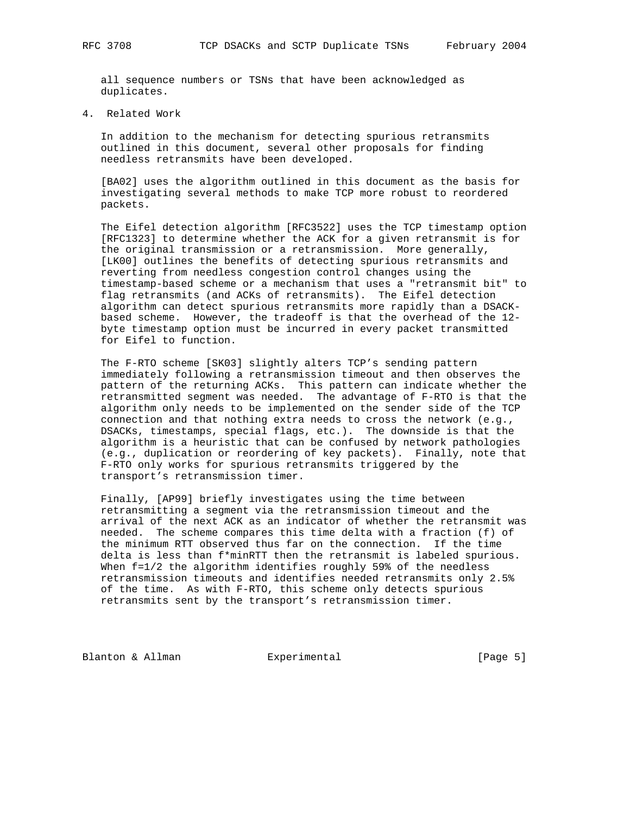all sequence numbers or TSNs that have been acknowledged as duplicates.

4. Related Work

 In addition to the mechanism for detecting spurious retransmits outlined in this document, several other proposals for finding needless retransmits have been developed.

 [BA02] uses the algorithm outlined in this document as the basis for investigating several methods to make TCP more robust to reordered packets.

 The Eifel detection algorithm [RFC3522] uses the TCP timestamp option [RFC1323] to determine whether the ACK for a given retransmit is for the original transmission or a retransmission. More generally, [LK00] outlines the benefits of detecting spurious retransmits and reverting from needless congestion control changes using the timestamp-based scheme or a mechanism that uses a "retransmit bit" to flag retransmits (and ACKs of retransmits). The Eifel detection algorithm can detect spurious retransmits more rapidly than a DSACK based scheme. However, the tradeoff is that the overhead of the 12 byte timestamp option must be incurred in every packet transmitted for Eifel to function.

 The F-RTO scheme [SK03] slightly alters TCP's sending pattern immediately following a retransmission timeout and then observes the pattern of the returning ACKs. This pattern can indicate whether the retransmitted segment was needed. The advantage of F-RTO is that the algorithm only needs to be implemented on the sender side of the TCP connection and that nothing extra needs to cross the network (e.g., DSACKs, timestamps, special flags, etc.). The downside is that the algorithm is a heuristic that can be confused by network pathologies (e.g., duplication or reordering of key packets). Finally, note that F-RTO only works for spurious retransmits triggered by the transport's retransmission timer.

 Finally, [AP99] briefly investigates using the time between retransmitting a segment via the retransmission timeout and the arrival of the next ACK as an indicator of whether the retransmit was needed. The scheme compares this time delta with a fraction (f) of the minimum RTT observed thus far on the connection. If the time delta is less than f\*minRTT then the retransmit is labeled spurious. When f=1/2 the algorithm identifies roughly 59% of the needless retransmission timeouts and identifies needed retransmits only 2.5% of the time. As with F-RTO, this scheme only detects spurious retransmits sent by the transport's retransmission timer.

Blanton & Allman **Experimental** [Page 5]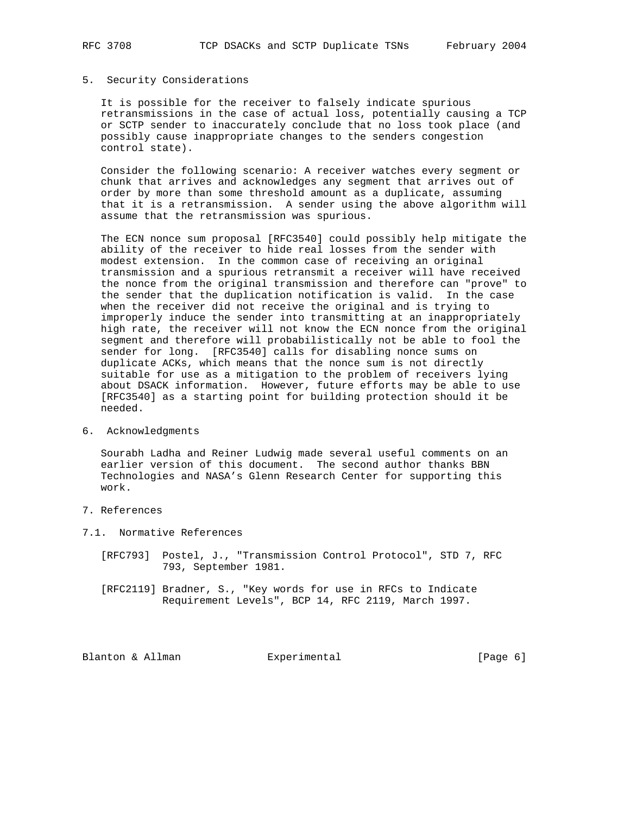### 5. Security Considerations

 It is possible for the receiver to falsely indicate spurious retransmissions in the case of actual loss, potentially causing a TCP or SCTP sender to inaccurately conclude that no loss took place (and possibly cause inappropriate changes to the senders congestion control state).

 Consider the following scenario: A receiver watches every segment or chunk that arrives and acknowledges any segment that arrives out of order by more than some threshold amount as a duplicate, assuming that it is a retransmission. A sender using the above algorithm will assume that the retransmission was spurious.

 The ECN nonce sum proposal [RFC3540] could possibly help mitigate the ability of the receiver to hide real losses from the sender with modest extension. In the common case of receiving an original transmission and a spurious retransmit a receiver will have received the nonce from the original transmission and therefore can "prove" to the sender that the duplication notification is valid. In the case when the receiver did not receive the original and is trying to improperly induce the sender into transmitting at an inappropriately high rate, the receiver will not know the ECN nonce from the original segment and therefore will probabilistically not be able to fool the sender for long. [RFC3540] calls for disabling nonce sums on duplicate ACKs, which means that the nonce sum is not directly suitable for use as a mitigation to the problem of receivers lying about DSACK information. However, future efforts may be able to use [RFC3540] as a starting point for building protection should it be needed.

## 6. Acknowledgments

 Sourabh Ladha and Reiner Ludwig made several useful comments on an earlier version of this document. The second author thanks BBN Technologies and NASA's Glenn Research Center for supporting this work.

- 7. References
- 7.1. Normative References
	- [RFC793] Postel, J., "Transmission Control Protocol", STD 7, RFC 793, September 1981.
	- [RFC2119] Bradner, S., "Key words for use in RFCs to Indicate Requirement Levels", BCP 14, RFC 2119, March 1997.

Blanton & Allman **Experimental** Experimental [Page 6]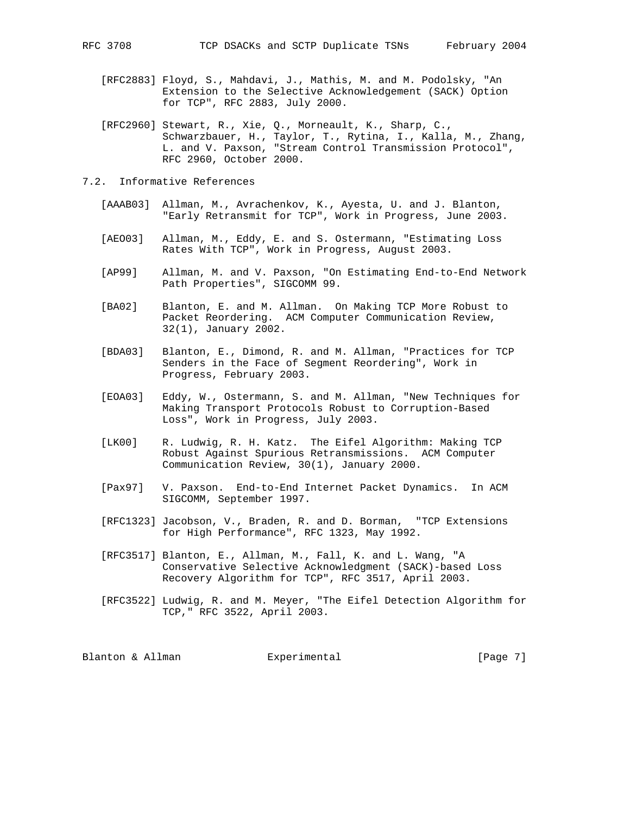- [RFC2883] Floyd, S., Mahdavi, J., Mathis, M. and M. Podolsky, "An Extension to the Selective Acknowledgement (SACK) Option for TCP", RFC 2883, July 2000.
- [RFC2960] Stewart, R., Xie, Q., Morneault, K., Sharp, C., Schwarzbauer, H., Taylor, T., Rytina, I., Kalla, M., Zhang, L. and V. Paxson, "Stream Control Transmission Protocol", RFC 2960, October 2000.
- 7.2. Informative References
	- [AAAB03] Allman, M., Avrachenkov, K., Ayesta, U. and J. Blanton, "Early Retransmit for TCP", Work in Progress, June 2003.
	- [AEO03] Allman, M., Eddy, E. and S. Ostermann, "Estimating Loss Rates With TCP", Work in Progress, August 2003.
	- [AP99] Allman, M. and V. Paxson, "On Estimating End-to-End Network Path Properties", SIGCOMM 99.
	- [BA02] Blanton, E. and M. Allman. On Making TCP More Robust to Packet Reordering. ACM Computer Communication Review, 32(1), January 2002.
	- [BDA03] Blanton, E., Dimond, R. and M. Allman, "Practices for TCP Senders in the Face of Segment Reordering", Work in Progress, February 2003.
	- [EOA03] Eddy, W., Ostermann, S. and M. Allman, "New Techniques for Making Transport Protocols Robust to Corruption-Based Loss", Work in Progress, July 2003.
	- [LK00] R. Ludwig, R. H. Katz. The Eifel Algorithm: Making TCP Robust Against Spurious Retransmissions. ACM Computer Communication Review, 30(1), January 2000.
	- [Pax97] V. Paxson. End-to-End Internet Packet Dynamics. In ACM SIGCOMM, September 1997.
	- [RFC1323] Jacobson, V., Braden, R. and D. Borman, "TCP Extensions for High Performance", RFC 1323, May 1992.
	- [RFC3517] Blanton, E., Allman, M., Fall, K. and L. Wang, "A Conservative Selective Acknowledgment (SACK)-based Loss Recovery Algorithm for TCP", RFC 3517, April 2003.
	- [RFC3522] Ludwig, R. and M. Meyer, "The Eifel Detection Algorithm for TCP," RFC 3522, April 2003.

| [Page 7]<br>Blanton & Allman<br>Experimental |  |  |
|----------------------------------------------|--|--|
|----------------------------------------------|--|--|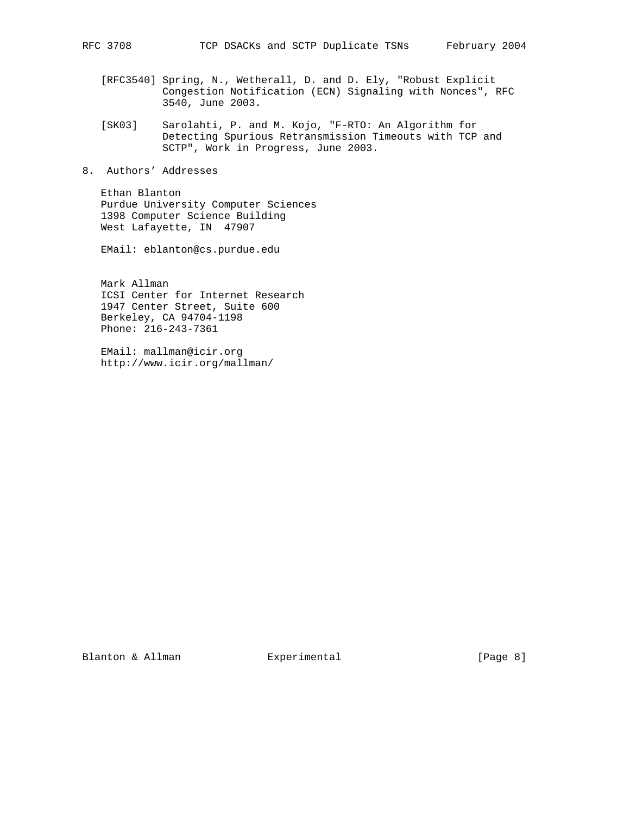- [RFC3540] Spring, N., Wetherall, D. and D. Ely, "Robust Explicit Congestion Notification (ECN) Signaling with Nonces", RFC 3540, June 2003.
- [SK03] Sarolahti, P. and M. Kojo, "F-RTO: An Algorithm for Detecting Spurious Retransmission Timeouts with TCP and SCTP", Work in Progress, June 2003.
- 8. Authors' Addresses

 Ethan Blanton Purdue University Computer Sciences 1398 Computer Science Building West Lafayette, IN 47907

EMail: eblanton@cs.purdue.edu

 Mark Allman ICSI Center for Internet Research 1947 Center Street, Suite 600 Berkeley, CA 94704-1198 Phone: 216-243-7361

 EMail: mallman@icir.org http://www.icir.org/mallman/

Blanton & Allman Experimental [Page 8]